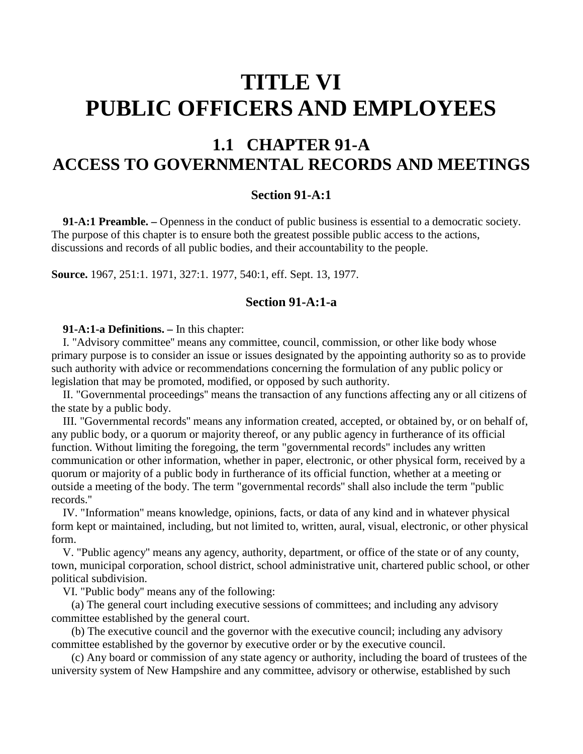# **TITLE VI PUBLIC OFFICERS AND EMPLOYEES**

# **1.1 CHAPTER 91-A ACCESS TO GOVERNMENTAL RECORDS AND MEETINGS**

# **Section 91-A:1**

 **91-A:1 Preamble. –** Openness in the conduct of public business is essential to a democratic society. The purpose of this chapter is to ensure both the greatest possible public access to the actions, discussions and records of all public bodies, and their accountability to the people.

**Source.** 1967, 251:1. 1971, 327:1. 1977, 540:1, eff. Sept. 13, 1977.

### **Section 91-A:1-a**

#### **91-A:1-a Definitions. –** In this chapter:

 I. "Advisory committee'' means any committee, council, commission, or other like body whose primary purpose is to consider an issue or issues designated by the appointing authority so as to provide such authority with advice or recommendations concerning the formulation of any public policy or legislation that may be promoted, modified, or opposed by such authority.

 II. "Governmental proceedings'' means the transaction of any functions affecting any or all citizens of the state by a public body.

 III. "Governmental records'' means any information created, accepted, or obtained by, or on behalf of, any public body, or a quorum or majority thereof, or any public agency in furtherance of its official function. Without limiting the foregoing, the term "governmental records'' includes any written communication or other information, whether in paper, electronic, or other physical form, received by a quorum or majority of a public body in furtherance of its official function, whether at a meeting or outside a meeting of the body. The term "governmental records'' shall also include the term "public records.''

 IV. "Information'' means knowledge, opinions, facts, or data of any kind and in whatever physical form kept or maintained, including, but not limited to, written, aural, visual, electronic, or other physical form.

 V. "Public agency'' means any agency, authority, department, or office of the state or of any county, town, municipal corporation, school district, school administrative unit, chartered public school, or other political subdivision.

VI. "Public body'' means any of the following:

 (a) The general court including executive sessions of committees; and including any advisory committee established by the general court.

 (b) The executive council and the governor with the executive council; including any advisory committee established by the governor by executive order or by the executive council.

 (c) Any board or commission of any state agency or authority, including the board of trustees of the university system of New Hampshire and any committee, advisory or otherwise, established by such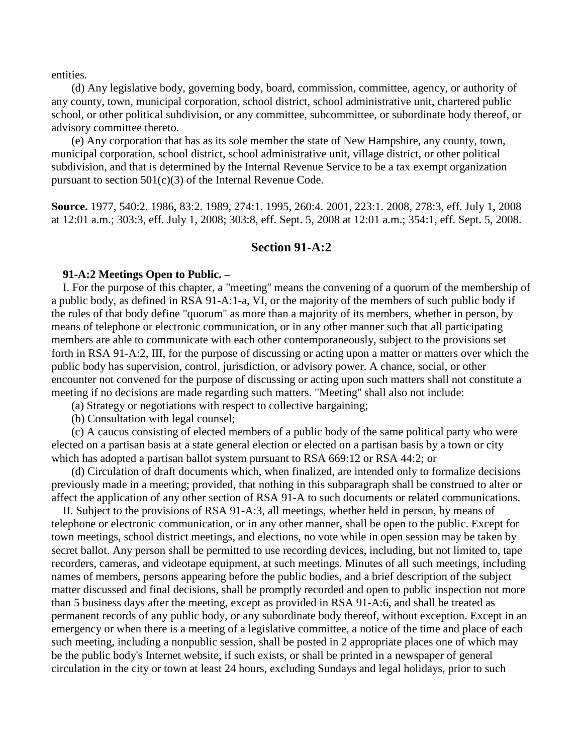entities.

 (d) Any legislative body, governing body, board, commission, committee, agency, or authority of any county, town, municipal corporation, school district, school administrative unit, chartered public school, or other political subdivision, or any committee, subcommittee, or subordinate body thereof, or advisory committee thereto.

 (e) Any corporation that has as its sole member the state of New Hampshire, any county, town, municipal corporation, school district, school administrative unit, village district, or other political subdivision, and that is determined by the Internal Revenue Service to be a tax exempt organization pursuant to section 501(c)(3) of the Internal Revenue Code.

**Source.** 1977, 540:2. 1986, 83:2. 1989, 274:1. 1995, 260:4. 2001, 223:1. 2008, 278:3, eff. July 1, 2008 at 12:01 a.m.; 303:3, eff. July 1, 2008; 303:8, eff. Sept. 5, 2008 at 12:01 a.m.; 354:1, eff. Sept. 5, 2008.

# **Section 91-A:2**

#### **91-A:2 Meetings Open to Public. –**

 I. For the purpose of this chapter, a "meeting'' means the convening of a quorum of the membership of a public body, as defined in RSA 91-A:1-a, VI, or the majority of the members of such public body if the rules of that body define "quorum'' as more than a majority of its members, whether in person, by means of telephone or electronic communication, or in any other manner such that all participating members are able to communicate with each other contemporaneously, subject to the provisions set forth in RSA 91-A:2, III, for the purpose of discussing or acting upon a matter or matters over which the public body has supervision, control, jurisdiction, or advisory power. A chance, social, or other encounter not convened for the purpose of discussing or acting upon such matters shall not constitute a meeting if no decisions are made regarding such matters. "Meeting'' shall also not include:

(a) Strategy or negotiations with respect to collective bargaining;

(b) Consultation with legal counsel;

 (c) A caucus consisting of elected members of a public body of the same political party who were elected on a partisan basis at a state general election or elected on a partisan basis by a town or city which has adopted a partisan ballot system pursuant to RSA 669:12 or RSA 44:2; or

 (d) Circulation of draft documents which, when finalized, are intended only to formalize decisions previously made in a meeting; provided, that nothing in this subparagraph shall be construed to alter or affect the application of any other section of RSA 91-A to such documents or related communications.

 II. Subject to the provisions of RSA 91-A:3, all meetings, whether held in person, by means of telephone or electronic communication, or in any other manner, shall be open to the public. Except for town meetings, school district meetings, and elections, no vote while in open session may be taken by secret ballot. Any person shall be permitted to use recording devices, including, but not limited to, tape recorders, cameras, and videotape equipment, at such meetings. Minutes of all such meetings, including names of members, persons appearing before the public bodies, and a brief description of the subject matter discussed and final decisions, shall be promptly recorded and open to public inspection not more than 5 business days after the meeting, except as provided in RSA 91-A:6, and shall be treated as permanent records of any public body, or any subordinate body thereof, without exception. Except in an emergency or when there is a meeting of a legislative committee, a notice of the time and place of each such meeting, including a nonpublic session, shall be posted in 2 appropriate places one of which may be the public body's Internet website, if such exists, or shall be printed in a newspaper of general circulation in the city or town at least 24 hours, excluding Sundays and legal holidays, prior to such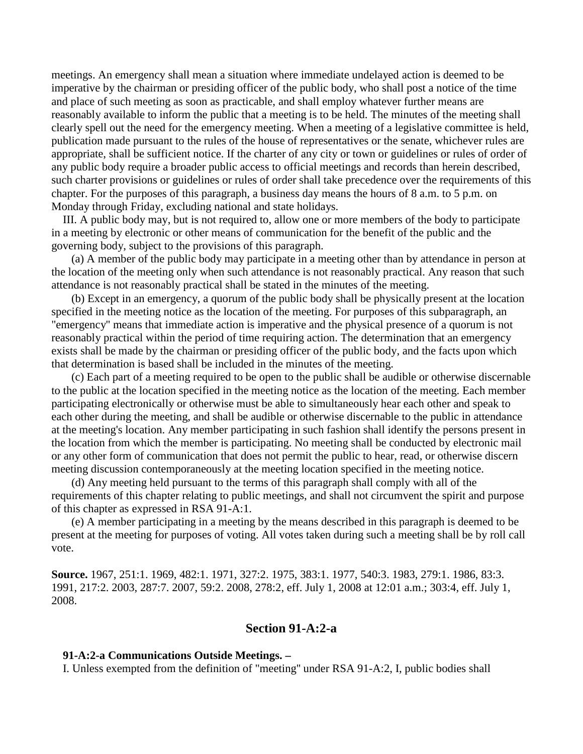meetings. An emergency shall mean a situation where immediate undelayed action is deemed to be imperative by the chairman or presiding officer of the public body, who shall post a notice of the time and place of such meeting as soon as practicable, and shall employ whatever further means are reasonably available to inform the public that a meeting is to be held. The minutes of the meeting shall clearly spell out the need for the emergency meeting. When a meeting of a legislative committee is held, publication made pursuant to the rules of the house of representatives or the senate, whichever rules are appropriate, shall be sufficient notice. If the charter of any city or town or guidelines or rules of order of any public body require a broader public access to official meetings and records than herein described, such charter provisions or guidelines or rules of order shall take precedence over the requirements of this chapter. For the purposes of this paragraph, a business day means the hours of 8 a.m. to 5 p.m. on Monday through Friday, excluding national and state holidays.

 III. A public body may, but is not required to, allow one or more members of the body to participate in a meeting by electronic or other means of communication for the benefit of the public and the governing body, subject to the provisions of this paragraph.

 (a) A member of the public body may participate in a meeting other than by attendance in person at the location of the meeting only when such attendance is not reasonably practical. Any reason that such attendance is not reasonably practical shall be stated in the minutes of the meeting.

 (b) Except in an emergency, a quorum of the public body shall be physically present at the location specified in the meeting notice as the location of the meeting. For purposes of this subparagraph, an "emergency'' means that immediate action is imperative and the physical presence of a quorum is not reasonably practical within the period of time requiring action. The determination that an emergency exists shall be made by the chairman or presiding officer of the public body, and the facts upon which that determination is based shall be included in the minutes of the meeting.

 (c) Each part of a meeting required to be open to the public shall be audible or otherwise discernable to the public at the location specified in the meeting notice as the location of the meeting. Each member participating electronically or otherwise must be able to simultaneously hear each other and speak to each other during the meeting, and shall be audible or otherwise discernable to the public in attendance at the meeting's location. Any member participating in such fashion shall identify the persons present in the location from which the member is participating. No meeting shall be conducted by electronic mail or any other form of communication that does not permit the public to hear, read, or otherwise discern meeting discussion contemporaneously at the meeting location specified in the meeting notice.

 (d) Any meeting held pursuant to the terms of this paragraph shall comply with all of the requirements of this chapter relating to public meetings, and shall not circumvent the spirit and purpose of this chapter as expressed in RSA 91-A:1.

 (e) A member participating in a meeting by the means described in this paragraph is deemed to be present at the meeting for purposes of voting. All votes taken during such a meeting shall be by roll call vote.

**Source.** 1967, 251:1. 1969, 482:1. 1971, 327:2. 1975, 383:1. 1977, 540:3. 1983, 279:1. 1986, 83:3. 1991, 217:2. 2003, 287:7. 2007, 59:2. 2008, 278:2, eff. July 1, 2008 at 12:01 a.m.; 303:4, eff. July 1, 2008.

# **Section 91-A:2-a**

#### **91-A:2-a Communications Outside Meetings. –**

I. Unless exempted from the definition of "meeting'' under RSA 91-A:2, I, public bodies shall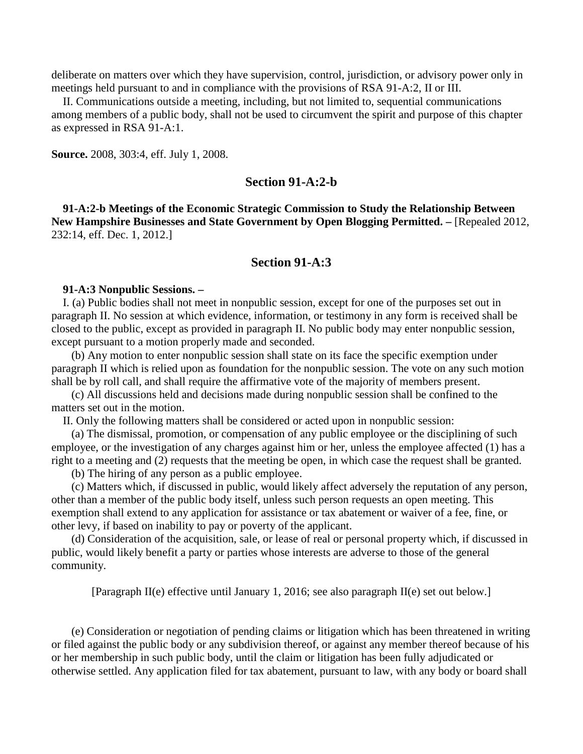deliberate on matters over which they have supervision, control, jurisdiction, or advisory power only in meetings held pursuant to and in compliance with the provisions of RSA 91-A:2, II or III.

 II. Communications outside a meeting, including, but not limited to, sequential communications among members of a public body, shall not be used to circumvent the spirit and purpose of this chapter as expressed in RSA 91-A:1.

**Source.** 2008, 303:4, eff. July 1, 2008.

#### **Section 91-A:2-b**

 **91-A:2-b Meetings of the Economic Strategic Commission to Study the Relationship Between New Hampshire Businesses and State Government by Open Blogging Permitted. –** [Repealed 2012, 232:14, eff. Dec. 1, 2012.]

# **Section 91-A:3**

#### **91-A:3 Nonpublic Sessions. –**

 I. (a) Public bodies shall not meet in nonpublic session, except for one of the purposes set out in paragraph II. No session at which evidence, information, or testimony in any form is received shall be closed to the public, except as provided in paragraph II. No public body may enter nonpublic session, except pursuant to a motion properly made and seconded.

 (b) Any motion to enter nonpublic session shall state on its face the specific exemption under paragraph II which is relied upon as foundation for the nonpublic session. The vote on any such motion shall be by roll call, and shall require the affirmative vote of the majority of members present.

 (c) All discussions held and decisions made during nonpublic session shall be confined to the matters set out in the motion.

II. Only the following matters shall be considered or acted upon in nonpublic session:

 (a) The dismissal, promotion, or compensation of any public employee or the disciplining of such employee, or the investigation of any charges against him or her, unless the employee affected (1) has a right to a meeting and (2) requests that the meeting be open, in which case the request shall be granted.

(b) The hiring of any person as a public employee.

 (c) Matters which, if discussed in public, would likely affect adversely the reputation of any person, other than a member of the public body itself, unless such person requests an open meeting. This exemption shall extend to any application for assistance or tax abatement or waiver of a fee, fine, or other levy, if based on inability to pay or poverty of the applicant.

 (d) Consideration of the acquisition, sale, or lease of real or personal property which, if discussed in public, would likely benefit a party or parties whose interests are adverse to those of the general community.

[Paragraph II(e) effective until January 1, 2016; see also paragraph II(e) set out below.]

 (e) Consideration or negotiation of pending claims or litigation which has been threatened in writing or filed against the public body or any subdivision thereof, or against any member thereof because of his or her membership in such public body, until the claim or litigation has been fully adjudicated or otherwise settled. Any application filed for tax abatement, pursuant to law, with any body or board shall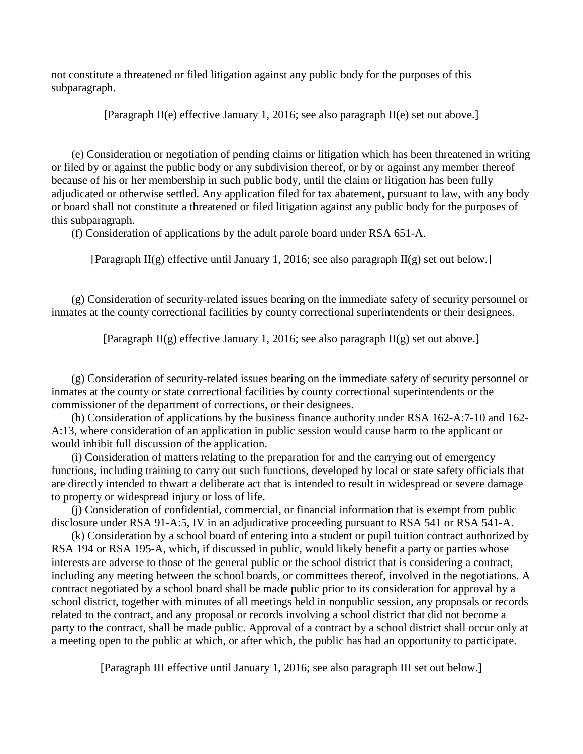not constitute a threatened or filed litigation against any public body for the purposes of this subparagraph.

[Paragraph II(e) effective January 1, 2016; see also paragraph II(e) set out above.]

 (e) Consideration or negotiation of pending claims or litigation which has been threatened in writing or filed by or against the public body or any subdivision thereof, or by or against any member thereof because of his or her membership in such public body, until the claim or litigation has been fully adjudicated or otherwise settled. Any application filed for tax abatement, pursuant to law, with any body or board shall not constitute a threatened or filed litigation against any public body for the purposes of this subparagraph.

(f) Consideration of applications by the adult parole board under RSA 651-A.

[Paragraph II(g) effective until January 1, 2016; see also paragraph II(g) set out below.]

 (g) Consideration of security-related issues bearing on the immediate safety of security personnel or inmates at the county correctional facilities by county correctional superintendents or their designees.

[Paragraph II(g) effective January 1, 2016; see also paragraph II(g) set out above.]

 (g) Consideration of security-related issues bearing on the immediate safety of security personnel or inmates at the county or state correctional facilities by county correctional superintendents or the commissioner of the department of corrections, or their designees.

 (h) Consideration of applications by the business finance authority under RSA 162-A:7-10 and 162- A:13, where consideration of an application in public session would cause harm to the applicant or would inhibit full discussion of the application.

 (i) Consideration of matters relating to the preparation for and the carrying out of emergency functions, including training to carry out such functions, developed by local or state safety officials that are directly intended to thwart a deliberate act that is intended to result in widespread or severe damage to property or widespread injury or loss of life.

 (j) Consideration of confidential, commercial, or financial information that is exempt from public disclosure under RSA 91-A:5, IV in an adjudicative proceeding pursuant to RSA 541 or RSA 541-A.

 (k) Consideration by a school board of entering into a student or pupil tuition contract authorized by RSA 194 or RSA 195-A, which, if discussed in public, would likely benefit a party or parties whose interests are adverse to those of the general public or the school district that is considering a contract, including any meeting between the school boards, or committees thereof, involved in the negotiations. A contract negotiated by a school board shall be made public prior to its consideration for approval by a school district, together with minutes of all meetings held in nonpublic session, any proposals or records related to the contract, and any proposal or records involving a school district that did not become a party to the contract, shall be made public. Approval of a contract by a school district shall occur only at a meeting open to the public at which, or after which, the public has had an opportunity to participate.

[Paragraph III effective until January 1, 2016; see also paragraph III set out below.]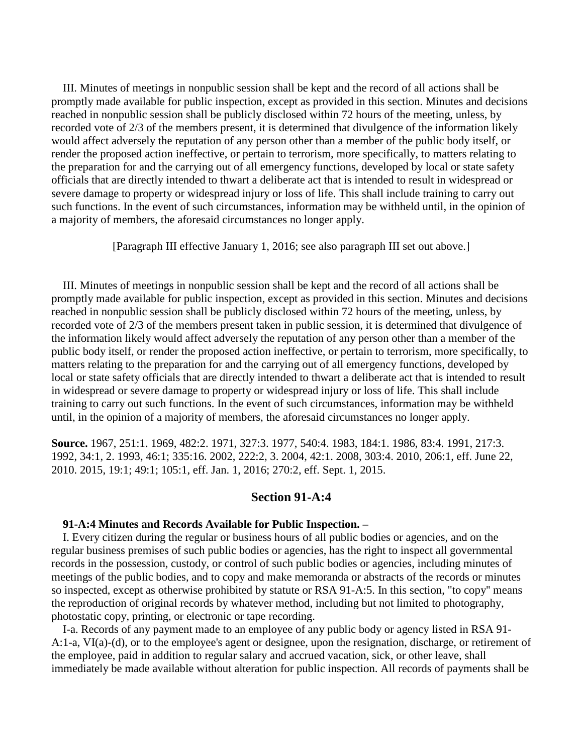III. Minutes of meetings in nonpublic session shall be kept and the record of all actions shall be promptly made available for public inspection, except as provided in this section. Minutes and decisions reached in nonpublic session shall be publicly disclosed within 72 hours of the meeting, unless, by recorded vote of 2/3 of the members present, it is determined that divulgence of the information likely would affect adversely the reputation of any person other than a member of the public body itself, or render the proposed action ineffective, or pertain to terrorism, more specifically, to matters relating to the preparation for and the carrying out of all emergency functions, developed by local or state safety officials that are directly intended to thwart a deliberate act that is intended to result in widespread or severe damage to property or widespread injury or loss of life. This shall include training to carry out such functions. In the event of such circumstances, information may be withheld until, in the opinion of a majority of members, the aforesaid circumstances no longer apply.

[Paragraph III effective January 1, 2016; see also paragraph III set out above.]

 III. Minutes of meetings in nonpublic session shall be kept and the record of all actions shall be promptly made available for public inspection, except as provided in this section. Minutes and decisions reached in nonpublic session shall be publicly disclosed within 72 hours of the meeting, unless, by recorded vote of 2/3 of the members present taken in public session, it is determined that divulgence of the information likely would affect adversely the reputation of any person other than a member of the public body itself, or render the proposed action ineffective, or pertain to terrorism, more specifically, to matters relating to the preparation for and the carrying out of all emergency functions, developed by local or state safety officials that are directly intended to thwart a deliberate act that is intended to result in widespread or severe damage to property or widespread injury or loss of life. This shall include training to carry out such functions. In the event of such circumstances, information may be withheld until, in the opinion of a majority of members, the aforesaid circumstances no longer apply.

**Source.** 1967, 251:1. 1969, 482:2. 1971, 327:3. 1977, 540:4. 1983, 184:1. 1986, 83:4. 1991, 217:3. 1992, 34:1, 2. 1993, 46:1; 335:16. 2002, 222:2, 3. 2004, 42:1. 2008, 303:4. 2010, 206:1, eff. June 22, 2010. 2015, 19:1; 49:1; 105:1, eff. Jan. 1, 2016; 270:2, eff. Sept. 1, 2015.

### **Section 91-A:4**

#### **91-A:4 Minutes and Records Available for Public Inspection. –**

 I. Every citizen during the regular or business hours of all public bodies or agencies, and on the regular business premises of such public bodies or agencies, has the right to inspect all governmental records in the possession, custody, or control of such public bodies or agencies, including minutes of meetings of the public bodies, and to copy and make memoranda or abstracts of the records or minutes so inspected, except as otherwise prohibited by statute or RSA 91-A:5. In this section, "to copy'' means the reproduction of original records by whatever method, including but not limited to photography, photostatic copy, printing, or electronic or tape recording.

 I-a. Records of any payment made to an employee of any public body or agency listed in RSA 91- A:1-a, VI(a)-(d), or to the employee's agent or designee, upon the resignation, discharge, or retirement of the employee, paid in addition to regular salary and accrued vacation, sick, or other leave, shall immediately be made available without alteration for public inspection. All records of payments shall be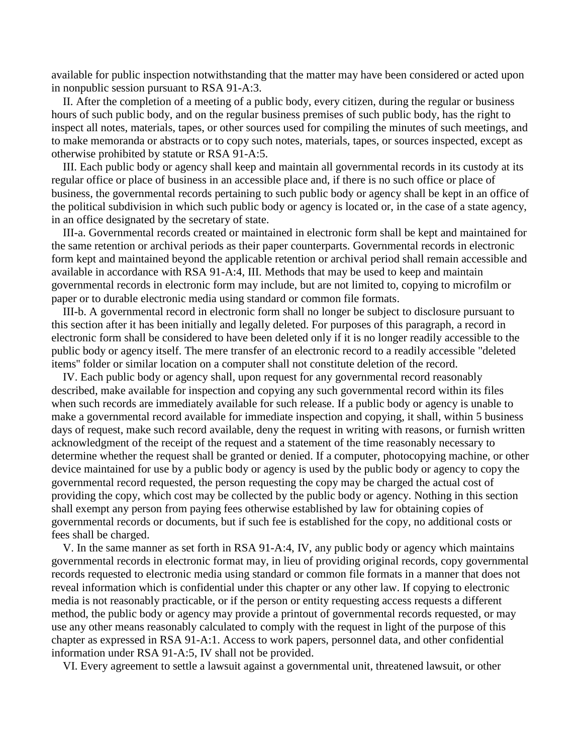available for public inspection notwithstanding that the matter may have been considered or acted upon in nonpublic session pursuant to RSA 91-A:3.

 II. After the completion of a meeting of a public body, every citizen, during the regular or business hours of such public body, and on the regular business premises of such public body, has the right to inspect all notes, materials, tapes, or other sources used for compiling the minutes of such meetings, and to make memoranda or abstracts or to copy such notes, materials, tapes, or sources inspected, except as otherwise prohibited by statute or RSA 91-A:5.

 III. Each public body or agency shall keep and maintain all governmental records in its custody at its regular office or place of business in an accessible place and, if there is no such office or place of business, the governmental records pertaining to such public body or agency shall be kept in an office of the political subdivision in which such public body or agency is located or, in the case of a state agency, in an office designated by the secretary of state.

 III-a. Governmental records created or maintained in electronic form shall be kept and maintained for the same retention or archival periods as their paper counterparts. Governmental records in electronic form kept and maintained beyond the applicable retention or archival period shall remain accessible and available in accordance with RSA 91-A:4, III. Methods that may be used to keep and maintain governmental records in electronic form may include, but are not limited to, copying to microfilm or paper or to durable electronic media using standard or common file formats.

 III-b. A governmental record in electronic form shall no longer be subject to disclosure pursuant to this section after it has been initially and legally deleted. For purposes of this paragraph, a record in electronic form shall be considered to have been deleted only if it is no longer readily accessible to the public body or agency itself. The mere transfer of an electronic record to a readily accessible "deleted items'' folder or similar location on a computer shall not constitute deletion of the record.

 IV. Each public body or agency shall, upon request for any governmental record reasonably described, make available for inspection and copying any such governmental record within its files when such records are immediately available for such release. If a public body or agency is unable to make a governmental record available for immediate inspection and copying, it shall, within 5 business days of request, make such record available, deny the request in writing with reasons, or furnish written acknowledgment of the receipt of the request and a statement of the time reasonably necessary to determine whether the request shall be granted or denied. If a computer, photocopying machine, or other device maintained for use by a public body or agency is used by the public body or agency to copy the governmental record requested, the person requesting the copy may be charged the actual cost of providing the copy, which cost may be collected by the public body or agency. Nothing in this section shall exempt any person from paying fees otherwise established by law for obtaining copies of governmental records or documents, but if such fee is established for the copy, no additional costs or fees shall be charged.

 V. In the same manner as set forth in RSA 91-A:4, IV, any public body or agency which maintains governmental records in electronic format may, in lieu of providing original records, copy governmental records requested to electronic media using standard or common file formats in a manner that does not reveal information which is confidential under this chapter or any other law. If copying to electronic media is not reasonably practicable, or if the person or entity requesting access requests a different method, the public body or agency may provide a printout of governmental records requested, or may use any other means reasonably calculated to comply with the request in light of the purpose of this chapter as expressed in RSA 91-A:1. Access to work papers, personnel data, and other confidential information under RSA 91-A:5, IV shall not be provided.

VI. Every agreement to settle a lawsuit against a governmental unit, threatened lawsuit, or other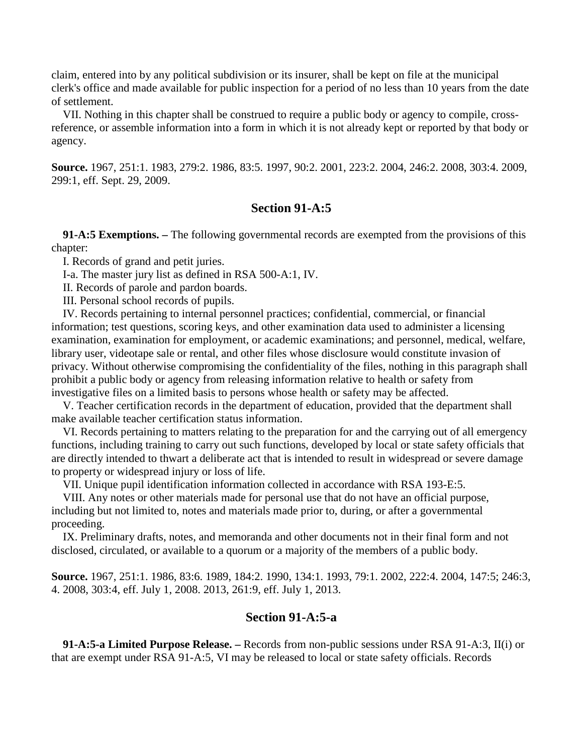claim, entered into by any political subdivision or its insurer, shall be kept on file at the municipal clerk's office and made available for public inspection for a period of no less than 10 years from the date of settlement.

 VII. Nothing in this chapter shall be construed to require a public body or agency to compile, crossreference, or assemble information into a form in which it is not already kept or reported by that body or agency.

**Source.** 1967, 251:1. 1983, 279:2. 1986, 83:5. 1997, 90:2. 2001, 223:2. 2004, 246:2. 2008, 303:4. 2009, 299:1, eff. Sept. 29, 2009.

# **Section 91-A:5**

 **91-A:5 Exemptions. –** The following governmental records are exempted from the provisions of this chapter:

I. Records of grand and petit juries.

I-a. The master jury list as defined in RSA 500-A:1, IV.

II. Records of parole and pardon boards.

III. Personal school records of pupils.

 IV. Records pertaining to internal personnel practices; confidential, commercial, or financial information; test questions, scoring keys, and other examination data used to administer a licensing examination, examination for employment, or academic examinations; and personnel, medical, welfare, library user, videotape sale or rental, and other files whose disclosure would constitute invasion of privacy. Without otherwise compromising the confidentiality of the files, nothing in this paragraph shall prohibit a public body or agency from releasing information relative to health or safety from investigative files on a limited basis to persons whose health or safety may be affected.

 V. Teacher certification records in the department of education, provided that the department shall make available teacher certification status information.

 VI. Records pertaining to matters relating to the preparation for and the carrying out of all emergency functions, including training to carry out such functions, developed by local or state safety officials that are directly intended to thwart a deliberate act that is intended to result in widespread or severe damage to property or widespread injury or loss of life.

VII. Unique pupil identification information collected in accordance with RSA 193-E:5.

 VIII. Any notes or other materials made for personal use that do not have an official purpose, including but not limited to, notes and materials made prior to, during, or after a governmental proceeding.

 IX. Preliminary drafts, notes, and memoranda and other documents not in their final form and not disclosed, circulated, or available to a quorum or a majority of the members of a public body.

**Source.** 1967, 251:1. 1986, 83:6. 1989, 184:2. 1990, 134:1. 1993, 79:1. 2002, 222:4. 2004, 147:5; 246:3, 4. 2008, 303:4, eff. July 1, 2008. 2013, 261:9, eff. July 1, 2013.

### **Section 91-A:5-a**

 **91-A:5-a Limited Purpose Release. –** Records from non-public sessions under RSA 91-A:3, II(i) or that are exempt under RSA 91-A:5, VI may be released to local or state safety officials. Records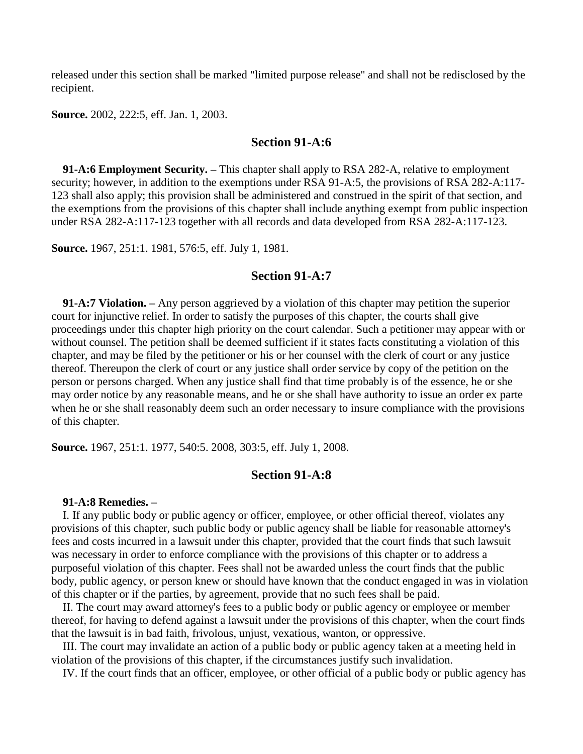released under this section shall be marked "limited purpose release'' and shall not be redisclosed by the recipient.

**Source.** 2002, 222:5, eff. Jan. 1, 2003.

# **Section 91-A:6**

 **91-A:6 Employment Security. –** This chapter shall apply to RSA 282-A, relative to employment security; however, in addition to the exemptions under RSA 91-A:5, the provisions of RSA 282-A:117-123 shall also apply; this provision shall be administered and construed in the spirit of that section, and the exemptions from the provisions of this chapter shall include anything exempt from public inspection under RSA 282-A:117-123 together with all records and data developed from RSA 282-A:117-123.

**Source.** 1967, 251:1. 1981, 576:5, eff. July 1, 1981.

#### **Section 91-A:7**

 **91-A:7 Violation. –** Any person aggrieved by a violation of this chapter may petition the superior court for injunctive relief. In order to satisfy the purposes of this chapter, the courts shall give proceedings under this chapter high priority on the court calendar. Such a petitioner may appear with or without counsel. The petition shall be deemed sufficient if it states facts constituting a violation of this chapter, and may be filed by the petitioner or his or her counsel with the clerk of court or any justice thereof. Thereupon the clerk of court or any justice shall order service by copy of the petition on the person or persons charged. When any justice shall find that time probably is of the essence, he or she may order notice by any reasonable means, and he or she shall have authority to issue an order ex parte when he or she shall reasonably deem such an order necessary to insure compliance with the provisions of this chapter.

**Source.** 1967, 251:1. 1977, 540:5. 2008, 303:5, eff. July 1, 2008.

### **Section 91-A:8**

#### **91-A:8 Remedies. –**

 I. If any public body or public agency or officer, employee, or other official thereof, violates any provisions of this chapter, such public body or public agency shall be liable for reasonable attorney's fees and costs incurred in a lawsuit under this chapter, provided that the court finds that such lawsuit was necessary in order to enforce compliance with the provisions of this chapter or to address a purposeful violation of this chapter. Fees shall not be awarded unless the court finds that the public body, public agency, or person knew or should have known that the conduct engaged in was in violation of this chapter or if the parties, by agreement, provide that no such fees shall be paid.

 II. The court may award attorney's fees to a public body or public agency or employee or member thereof, for having to defend against a lawsuit under the provisions of this chapter, when the court finds that the lawsuit is in bad faith, frivolous, unjust, vexatious, wanton, or oppressive.

 III. The court may invalidate an action of a public body or public agency taken at a meeting held in violation of the provisions of this chapter, if the circumstances justify such invalidation.

IV. If the court finds that an officer, employee, or other official of a public body or public agency has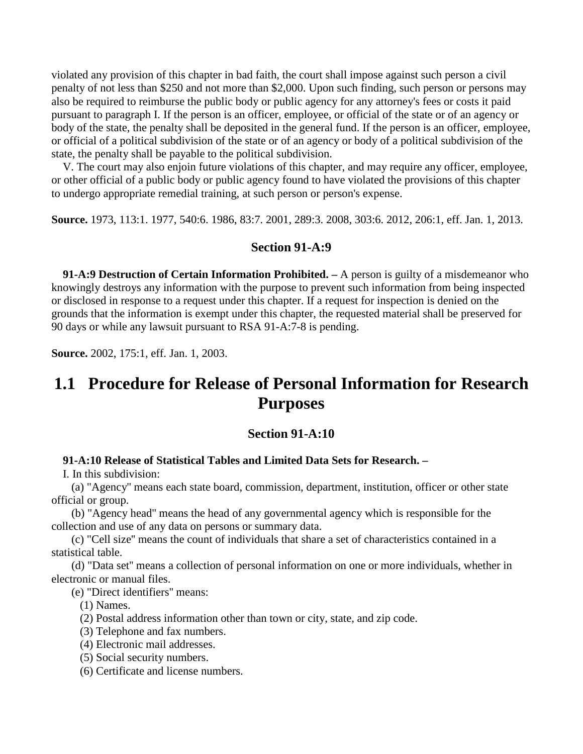violated any provision of this chapter in bad faith, the court shall impose against such person a civil penalty of not less than \$250 and not more than \$2,000. Upon such finding, such person or persons may also be required to reimburse the public body or public agency for any attorney's fees or costs it paid pursuant to paragraph I. If the person is an officer, employee, or official of the state or of an agency or body of the state, the penalty shall be deposited in the general fund. If the person is an officer, employee, or official of a political subdivision of the state or of an agency or body of a political subdivision of the state, the penalty shall be payable to the political subdivision.

 V. The court may also enjoin future violations of this chapter, and may require any officer, employee, or other official of a public body or public agency found to have violated the provisions of this chapter to undergo appropriate remedial training, at such person or person's expense.

**Source.** 1973, 113:1. 1977, 540:6. 1986, 83:7. 2001, 289:3. 2008, 303:6. 2012, 206:1, eff. Jan. 1, 2013.

### **Section 91-A:9**

 **91-A:9 Destruction of Certain Information Prohibited. –** A person is guilty of a misdemeanor who knowingly destroys any information with the purpose to prevent such information from being inspected or disclosed in response to a request under this chapter. If a request for inspection is denied on the grounds that the information is exempt under this chapter, the requested material shall be preserved for 90 days or while any lawsuit pursuant to RSA 91-A:7-8 is pending.

**Source.** 2002, 175:1, eff. Jan. 1, 2003.

# **1.1 Procedure for Release of Personal Information for Research Purposes**

### **Section 91-A:10**

#### **91-A:10 Release of Statistical Tables and Limited Data Sets for Research. –**

I. In this subdivision:

 (a) "Agency'' means each state board, commission, department, institution, officer or other state official or group.

 (b) "Agency head'' means the head of any governmental agency which is responsible for the collection and use of any data on persons or summary data.

 (c) "Cell size'' means the count of individuals that share a set of characteristics contained in a statistical table.

 (d) "Data set'' means a collection of personal information on one or more individuals, whether in electronic or manual files.

(e) "Direct identifiers'' means:

(1) Names.

- (2) Postal address information other than town or city, state, and zip code.
- (3) Telephone and fax numbers.
- (4) Electronic mail addresses.
- (5) Social security numbers.
- (6) Certificate and license numbers.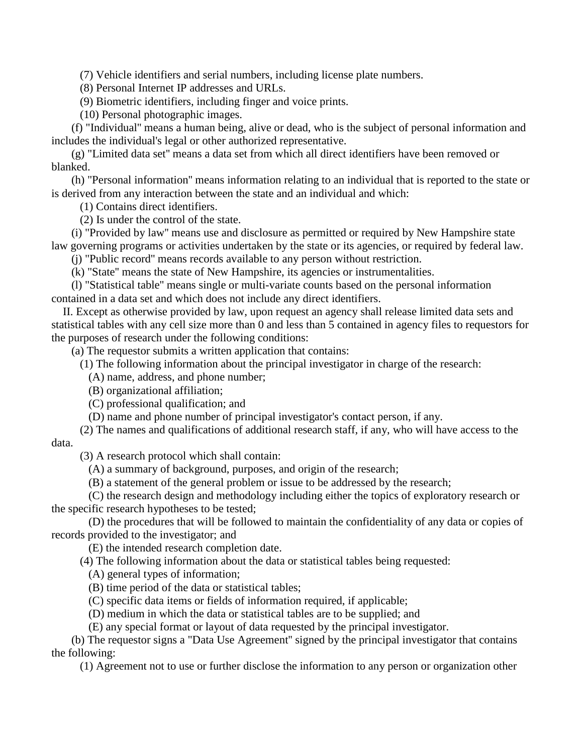(7) Vehicle identifiers and serial numbers, including license plate numbers.

(8) Personal Internet IP addresses and URLs.

(9) Biometric identifiers, including finger and voice prints.

(10) Personal photographic images.

 (f) "Individual'' means a human being, alive or dead, who is the subject of personal information and includes the individual's legal or other authorized representative.

 (g) "Limited data set'' means a data set from which all direct identifiers have been removed or blanked.

 (h) "Personal information'' means information relating to an individual that is reported to the state or is derived from any interaction between the state and an individual and which:

(1) Contains direct identifiers.

(2) Is under the control of the state.

 (i) "Provided by law'' means use and disclosure as permitted or required by New Hampshire state law governing programs or activities undertaken by the state or its agencies, or required by federal law.

(j) "Public record'' means records available to any person without restriction.

(k) "State'' means the state of New Hampshire, its agencies or instrumentalities.

 (l) "Statistical table'' means single or multi-variate counts based on the personal information contained in a data set and which does not include any direct identifiers.

 II. Except as otherwise provided by law, upon request an agency shall release limited data sets and statistical tables with any cell size more than 0 and less than 5 contained in agency files to requestors for the purposes of research under the following conditions:

(a) The requestor submits a written application that contains:

(1) The following information about the principal investigator in charge of the research:

(A) name, address, and phone number;

(B) organizational affiliation;

(C) professional qualification; and

(D) name and phone number of principal investigator's contact person, if any.

 (2) The names and qualifications of additional research staff, if any, who will have access to the data.

(3) A research protocol which shall contain:

(A) a summary of background, purposes, and origin of the research;

(B) a statement of the general problem or issue to be addressed by the research;

 (C) the research design and methodology including either the topics of exploratory research or the specific research hypotheses to be tested;

 (D) the procedures that will be followed to maintain the confidentiality of any data or copies of records provided to the investigator; and

(E) the intended research completion date.

(4) The following information about the data or statistical tables being requested:

(A) general types of information;

- (B) time period of the data or statistical tables;
- (C) specific data items or fields of information required, if applicable;

(D) medium in which the data or statistical tables are to be supplied; and

(E) any special format or layout of data requested by the principal investigator.

 (b) The requestor signs a "Data Use Agreement'' signed by the principal investigator that contains the following:

(1) Agreement not to use or further disclose the information to any person or organization other